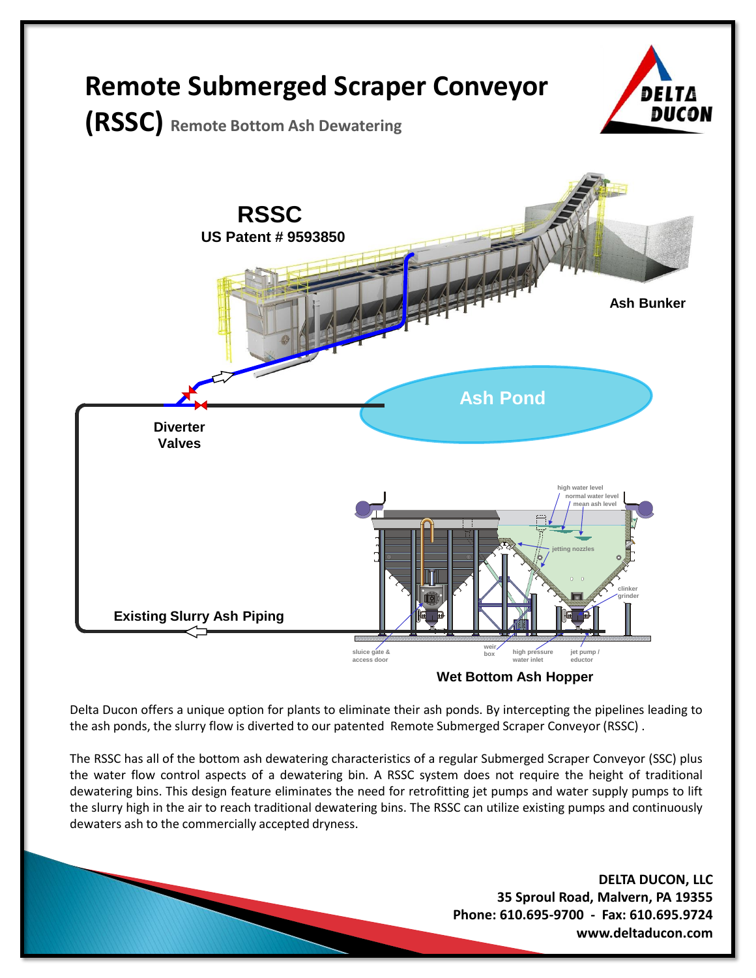

**Wet Bottom Ash Hopper**

Delta Ducon offers a unique option for plants to eliminate their ash ponds. By intercepting the pipelines leading to the ash ponds, the slurry flow is diverted to our patented Remote Submerged Scraper Conveyor (RSSC) .

The RSSC has all of the bottom ash dewatering characteristics of a regular Submerged Scraper Conveyor (SSC) plus the water flow control aspects of a dewatering bin. A RSSC system does not require the height of traditional dewatering bins. This design feature eliminates the need for retrofitting jet pumps and water supply pumps to lift the slurry high in the air to reach traditional dewatering bins. The RSSC can utilize existing pumps and continuously dewaters ash to the commercially accepted dryness.

> **DELTA DUCON, LLC 35 Sproul Road, Malvern, PA 19355 Phone: 610.695-9700 - Fax: 610.695.9724 www.deltaducon.com**